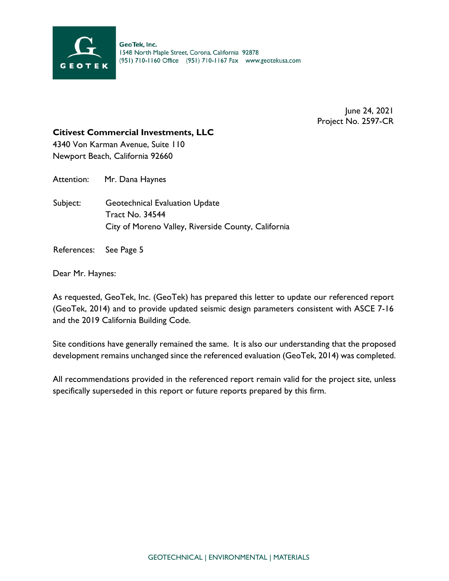

June 24, 2021 Project No. 2597-CR

## **Citivest Commercial Investments, LLC**

4340 Von Karman Avenue, Suite 110 Newport Beach, California 92660

Attention: Mr. Dana Haynes

Subject: Geotechnical Evaluation Update Tract No. 34544 City of Moreno Valley, Riverside County, California

References: See Page 5

Dear Mr. Haynes:

As requested, GeoTek, Inc. (GeoTek) has prepared this letter to update our referenced report (GeoTek, 2014) and to provide updated seismic design parameters consistent with ASCE 7-16 and the 2019 California Building Code.

Site conditions have generally remained the same. It is also our understanding that the proposed development remains unchanged since the referenced evaluation (GeoTek, 2014) was completed.

All recommendations provided in the referenced report remain valid for the project site, unless specifically superseded in this report or future reports prepared by this firm.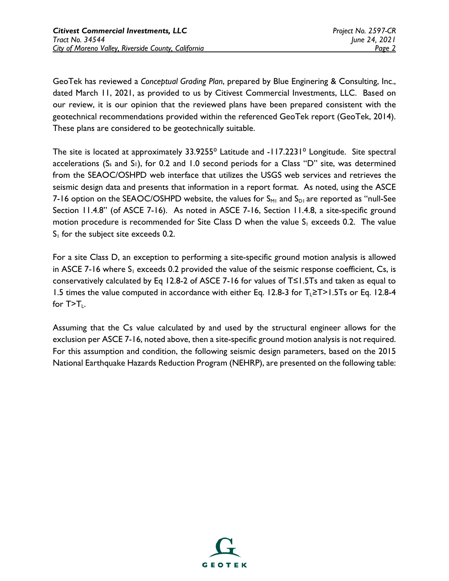GeoTek has reviewed a *Conceptual Grading Plan*, prepared by Blue Enginering & Consulting, Inc., dated March 11, 2021, as provided to us by Citivest Commercial Investments, LLC. Based on our review, it is our opinion that the reviewed plans have been prepared consistent with the geotechnical recommendations provided within the referenced GeoTek report (GeoTek, 2014). These plans are considered to be geotechnically suitable.

The site is located at approximately 33.9255<sup>°</sup> Latitude and -117.2231<sup>°</sup> Longitude. Site spectral accelerations (S<sub>s</sub> and S<sub>1</sub>), for 0.2 and 1.0 second periods for a Class "D" site, was determined from the SEAOC/OSHPD web interface that utilizes the USGS web services and retrieves the seismic design data and presents that information in a report format. As noted, using the ASCE 7-16 option on the SEAOC/OSHPD website, the values for  $S_{M1}$  and  $S_{D1}$  are reported as "null-See Section 11.4.8" (of ASCE 7-16). As noted in ASCE 7-16, Section 11.4.8, a site-specific ground motion procedure is recommended for Site Class D when the value  $S_1$  exceeds 0.2. The value  $S<sub>1</sub>$  for the subject site exceeds 0.2.

For a site Class D, an exception to performing a site-specific ground motion analysis is allowed in ASCE 7-16 where  $S_1$  exceeds 0.2 provided the value of the seismic response coefficient, Cs, is conservatively calculated by Eq 12.8-2 of ASCE 7-16 for values of T≤1.5Ts and taken as equal to 1.5 times the value computed in accordance with either Eq. 12.8-3 for  $T_{\text{L}}\geq T>1.5T$ s or Eq. 12.8-4 for  $T>T_{\perp}$ .

Assuming that the Cs value calculated by and used by the structural engineer allows for the exclusion per ASCE 7-16, noted above, then a site-specific ground motion analysis is not required. For this assumption and condition, the following seismic design parameters, based on the 2015 National Earthquake Hazards Reduction Program (NEHRP), are presented on the following table:

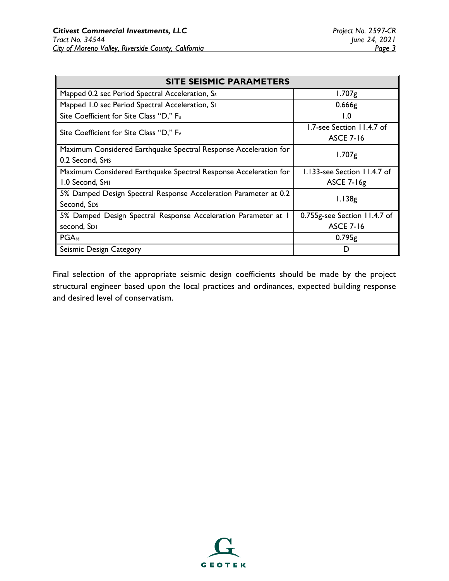| <b>SITE SEISMIC PARAMETERS</b>                                   |                              |
|------------------------------------------------------------------|------------------------------|
| Mapped 0.2 sec Period Spectral Acceleration, Ss                  | $1.707$ g                    |
| Mapped 1.0 sec Period Spectral Acceleration, SI                  | 0.666g                       |
| Site Coefficient for Site Class "D," F <sub>a</sub>              | $\mathsf{I}.\mathsf{O}$      |
| Site Coefficient for Site Class "D," F <sub>v</sub>              | 1.7-see Section 11.4.7 of    |
|                                                                  | <b>ASCE 7-16</b>             |
| Maximum Considered Earthquake Spectral Response Acceleration for | $1.707$ g                    |
| 0.2 Second, SMS                                                  |                              |
| Maximum Considered Earthquake Spectral Response Acceleration for | 1.133-see Section 11.4.7 of  |
| 1.0 Second, SMI                                                  | <b>ASCE 7-16g</b>            |
| 5% Damped Design Spectral Response Acceleration Parameter at 0.2 | 1.138g                       |
| Second, SDS                                                      |                              |
| 5% Damped Design Spectral Response Acceleration Parameter at 1   | 0.755g-see Section 11.4.7 of |
| second, SDI                                                      | <b>ASCE 7-16</b>             |
| $PGA_{M}$                                                        | 0.795g                       |
| Seismic Design Category                                          |                              |

Final selection of the appropriate seismic design coefficients should be made by the project structural engineer based upon the local practices and ordinances, expected building response and desired level of conservatism.

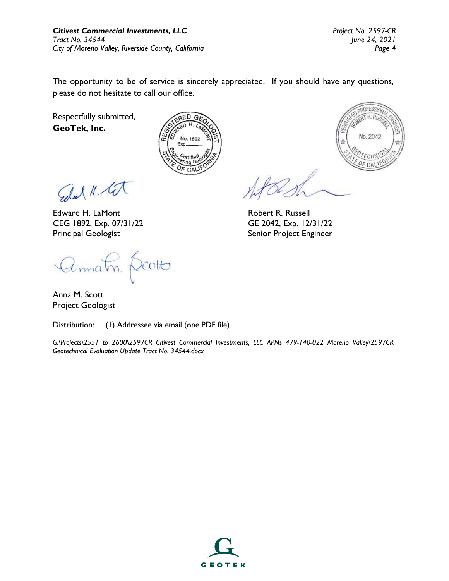The opportunity to be of service is sincerely appreciated. If you should have any questions, please do not hesitate to call our office.

Respectfully submitted, **GeoTek, Inc.**



**AOFESSIO**  $TR.R$ Vo. 2042

Edal H. Cit

Edward H. LaMont CEG 1892, Exp. 07/31/22 Principal Geologist

Annatn Dooto

Anna M. Scott Project Geologist

Distribution: (1) Addressee via email (one PDF file)

*G:\Projects\2551 to 2600\2597CR Citivest Commercial Investments, LLC APNs 479-140-022 Moreno Valley\2597CR Geotechnical Evaluation Update Tract No. 34544.docx*

Robert R. Russell GE 2042, Exp. 12/31/22 Senior Project Engineer